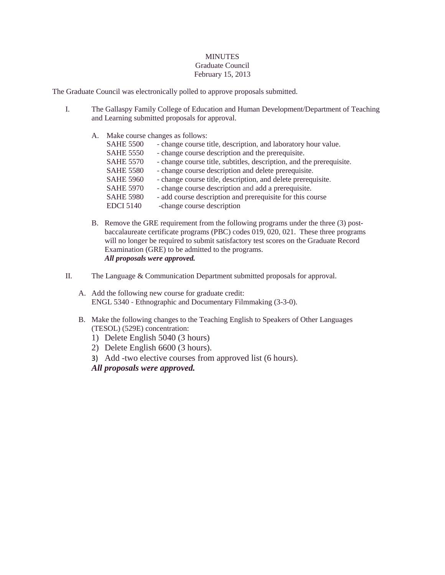## **MINUTES** Graduate Council February 15, 2013

The Graduate Council was electronically polled to approve proposals submitted.

- I. The Gallaspy Family College of Education and Human Development/Department of Teaching and Learning submitted proposals for approval.
	- A. Make course changes as follows: SAHE 5500 - change course title, description, and laboratory hour value. SAHE 5550 - change course description and the prerequisite. SAHE 5570 - change course title, subtitles, description, and the prerequisite. SAHE 5580 - change course description and delete prerequisite. SAHE 5960 - change course title, description, and delete prerequisite. SAHE 5970 - change course description and add a prerequisite. SAHE 5980 - add course description and prerequisite for this course EDCI 5140 -change course description
	- B. Remove the GRE requirement from the following programs under the three (3) postbaccalaureate certificate programs (PBC) codes 019, 020, 021. These three programs will no longer be required to submit satisfactory test scores on the Graduate Record Examination (GRE) to be admitted to the programs. *All proposals were approved.*
- II. The Language & Communication Department submitted proposals for approval.
	- A. Add the following new course for graduate credit: ENGL 5340 - Ethnographic and Documentary Filmmaking (3-3-0).
	- B. Make the following changes to the Teaching English to Speakers of Other Languages (TESOL) (529E) concentration:
		- 1) Delete English 5040 (3 hours)
		- 2) Delete English 6600 (3 hours).
		- 3) Add -two elective courses from approved list (6 hours).
		- *All proposals were approved.*